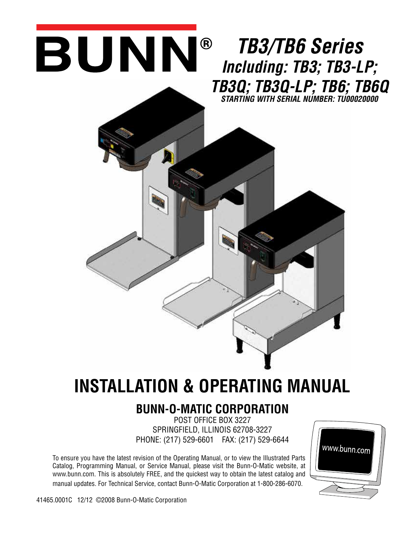

# **INSTALLATION & OPERATING MANUAL**

# **BUNN-O-MATIC CORPORATION**

POST OFFICE BOX 3227 SPRINGFIELD, ILLINOIS 62708-3227 PHONE: (217) 529-6601 FAX: (217) 529-6644

To ensure you have the latest revision of the Operating Manual, or to view the Illustrated Parts Catalog, Programming Manual, or Service Manual, please visit the Bunn-O-Matic website, at www.bunn.com. This is absolutely FREE, and the quickest way to obtain the latest catalog and manual updates. For Technical Service, contact Bunn-O-Matic Corporation at 1-800-286-6070.

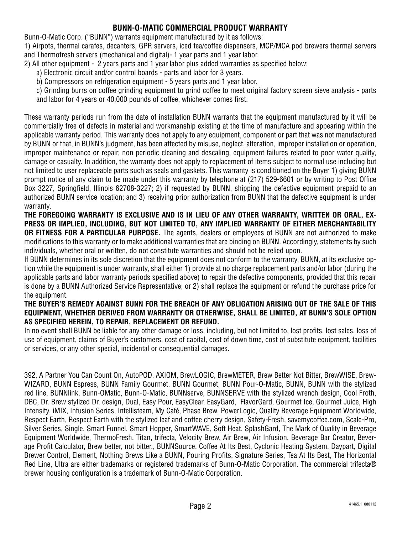#### **BUNN-O-MATIC COMMERCIAL PRODUCT WARRANTY**

Bunn-O-Matic Corp. ("BUNN") warrants equipment manufactured by it as follows:

1) Airpots, thermal carafes, decanters, GPR servers, iced tea/coffee dispensers, MCP/MCA pod brewers thermal servers and Thermofresh servers (mechanical and digital)- 1 year parts and 1 year labor.

- 2) All other equipment 2 years parts and 1 year labor plus added warranties as specified below:
	- a) Electronic circuit and/or control boards parts and labor for 3 years.
	- b) Compressors on refrigeration equipment 5 years parts and 1 year labor.
	- c) Grinding burrs on coffee grinding equipment to grind coffee to meet original factory screen sieve analysis parts and labor for 4 years or 40,000 pounds of coffee, whichever comes first.

These warranty periods run from the date of installation BUNN warrants that the equipment manufactured by it will be commercially free of defects in material and workmanship existing at the time of manufacture and appearing within the applicable warranty period. This warranty does not apply to any equipment, component or part that was not manufactured by BUNN or that, in BUNN's judgment, has been affected by misuse, neglect, alteration, improper installation or operation, improper maintenance or repair, non periodic cleaning and descaling, equipment failures related to poor water quality, damage or casualty. In addition, the warranty does not apply to replacement of items subject to normal use including but not limited to user replaceable parts such as seals and gaskets. This warranty is conditioned on the Buyer 1) giving BUNN prompt notice of any claim to be made under this warranty by telephone at (217) 529-6601 or by writing to Post Office Box 3227, Springfield, Illinois 62708-3227; 2) if requested by BUNN, shipping the defective equipment prepaid to an authorized BUNN service location; and 3) receiving prior authorization from BUNN that the defective equipment is under warranty.

**THE FOREGOING WARRANTY IS EXCLUSIVE AND IS IN LIEU OF ANY OTHER WARRANTY, WRITTEN OR ORAL, EX-PRESS OR IMPLIED, INCLUDING, BUT NOT LIMITED TO, ANY IMPLIED WARRANTY OF EITHER MERCHANTABILITY OR FITNESS FOR A PARTICULAR PURPOSE.** The agents, dealers or employees of BUNN are not authorized to make modifications to this warranty or to make additional warranties that are binding on BUNN. Accordingly, statements by such individuals, whether oral or written, do not constitute warranties and should not be relied upon.

If BUNN determines in its sole discretion that the equipment does not conform to the warranty, BUNN, at its exclusive option while the equipment is under warranty, shall either 1) provide at no charge replacement parts and/or labor (during the applicable parts and labor warranty periods specified above) to repair the defective components, provided that this repair is done by a BUNN Authorized Service Representative; or 2) shall replace the equipment or refund the purchase price for the equipment.

#### **THE BUYER'S REMEDY AGAINST BUNN FOR THE BREACH OF ANY OBLIGATION ARISING OUT OF THE SALE OF THIS EQUIPMENT, WHETHER DERIVED FROM WARRANTY OR OTHERWISE, SHALL BE LIMITED, AT BUNN'S SOLE OPTION AS SPECIFIED HEREIN, TO REPAIR, REPLACEMENT OR REFUND.**

In no event shall BUNN be liable for any other damage or loss, including, but not limited to, lost profits, lost sales, loss of use of equipment, claims of Buyer's customers, cost of capital, cost of down time, cost of substitute equipment, facilities or services, or any other special, incidental or consequential damages.

392, A Partner You Can Count On, AutoPOD, AXIOM, BrewLOGIC, BrewMETER, Brew Better Not Bitter, BrewWISE, Brew-WIZARD, BUNN Espress, BUNN Family Gourmet, BUNN Gourmet, BUNN Pour-O-Matic, BUNN, BUNN with the stylized red line, BUNNlink, Bunn-OMatic, Bunn-O-Matic, BUNNserve, BUNNSERVE with the stylized wrench design, Cool Froth, DBC, Dr. Brew stylized Dr. design, Dual, Easy Pour, EasyClear, EasyGard, FlavorGard, Gourmet Ice, Gourmet Juice, High Intensity, iMIX, Infusion Series, Intellisteam, My Café, Phase Brew, PowerLogic, Quality Beverage Equipment Worldwide, Respect Earth, Respect Earth with the stylized leaf and coffee cherry design, Safety-Fresh, savemycoffee.com, Scale-Pro, Silver Series, Single, Smart Funnel, Smart Hopper, SmartWAVE, Soft Heat, SplashGard, The Mark of Quality in Beverage Equipment Worldwide, ThermoFresh, Titan, trifecta, Velocity Brew, Air Brew, Air Infusion, Beverage Bar Creator, Beverage Profit Calculator, Brew better, not bitter., BUNNSource, Coffee At Its Best, Cyclonic Heating System, Daypart, Digital Brewer Control, Element, Nothing Brews Like a BUNN, Pouring Profits, Signature Series, Tea At Its Best, The Horizontal Red Line, Ultra are either trademarks or registered trademarks of Bunn-O-Matic Corporation. The commercial trifecta® brewer housing configuration is a trademark of Bunn-O-Matic Corporation.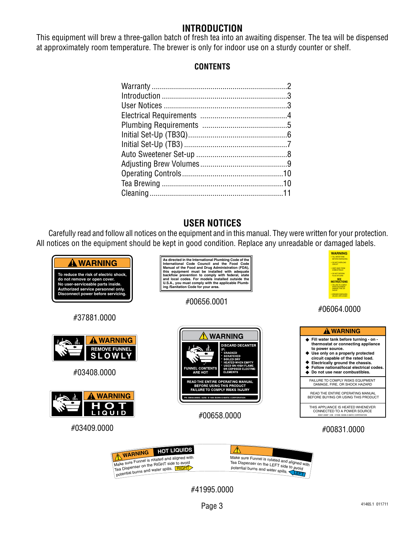# **INTRODUCTION**

This equipment will brew a three-gallon batch of fresh tea into an awaiting dispenser. The tea will be dispensed at approximately room temperature. The brewer is only for indoor use on a sturdy counter or shelf.

#### **CONTENTS**

# **USER NOTICES**

Carefully read and follow all notices on the equipment and in this manual. They were written for your protection. All notices on the equipment should be kept in good condition. Replace any unreadable or damaged labels.

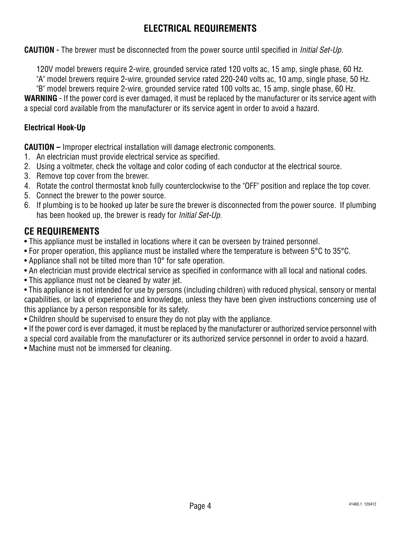# **ELECTRICAL REQUIREMENTS**

**CAUTION -** The brewer must be disconnected from the power source until specified in *Initial Set-Up.*

120V model brewers require 2-wire, grounded service rated 120 volts ac, 15 amp, single phase, 60 Hz.

"A" model brewers require 2-wire, grounded service rated 220-240 volts ac, 10 amp, single phase, 50 Hz.

"B" model brewers require 2-wire, grounded service rated 100 volts ac, 15 amp, single phase, 60 Hz.

**WARNING** - If the power cord is ever damaged, it must be replaced by the manufacturer or its service agent with a special cord available from the manufacturer or its service agent in order to avoid a hazard.

#### **Electrical Hook-Up**

**CAUTION –** Improper electrical installation will damage electronic components.

- 1. An electrician must provide electrical service as specified.
- 2. Using a voltmeter, check the voltage and color coding of each conductor at the electrical source.
- 3. Remove top cover from the brewer.
- 4. Rotate the control thermostat knob fully counterclockwise to the "OFF" position and replace the top cover.
- 5. Connect the brewer to the power source.
- 6. If plumbing is to be hooked up later be sure the brewer is disconnected from the power source. If plumbing has been hooked up, the brewer is ready for *Initial Set-Up*.

# **CE REQUIREMENTS**

- This appliance must be installed in locations where it can be overseen by trained personnel.
- For proper operation, this appliance must be installed where the temperature is between 5°C to 35°C.
- Appliance shall not be tilted more than 10° for safe operation.
- An electrician must provide electrical service as specified in conformance with all local and national codes.
- This appliance must not be cleaned by water jet.
- This appliance is not intended for use by persons (including children) with reduced physical, sensory or mental capabilities, or lack of experience and knowledge, unless they have been given instructions concerning use of this appliance by a person responsible for its safety.
- Children should be supervised to ensure they do not play with the appliance.
- If the power cord is ever damaged, it must be replaced by the manufacturer or authorized service personnel with
- a special cord available from the manufacturer or its authorized service personnel in order to avoid a hazard.
- Machine must not be immersed for cleaning.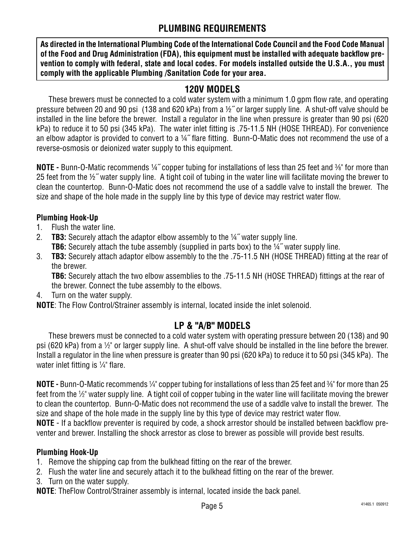# **PLUMBING REQUIREMENTS**

**As directed in the International Plumbing Code of the International Code Council and the Food Code Manual of the Food and Drug Administration (FDA), this equipment must be installed with adequate backflow prevention to comply with federal, state and local codes. For models installed outside the U.S.A., you must comply with the applicable Plumbing /Sanitation Code for your area.**

# **120V MODELS**

These brewers must be connected to a cold water system with a minimum 1.0 gpm flow rate, and operating pressure between 20 and 90 psi (138 and 620 kPa) from a ½˝ or larger supply line. A shut-off valve should be installed in the line before the brewer. Install a regulator in the line when pressure is greater than 90 psi (620 kPa) to reduce it to 50 psi (345 kPa). The water inlet fitting is .75-11.5 NH (HOSE THREAD). For convenience an elbow adaptor is provided to convert to a ¼˝ flare fitting. Bunn-O-Matic does not recommend the use of a reverse-osmosis or deionized water supply to this equipment.

**NOTE -** Bunn-O-Matic recommends ¼" copper tubing for installations of less than 25 feet and ¾" for more than 25 feet from the ½˝ water supply line. A tight coil of tubing in the water line will facilitate moving the brewer to clean the countertop. Bunn-O-Matic does not recommend the use of a saddle valve to install the brewer. The size and shape of the hole made in the supply line by this type of device may restrict water flow.

#### **Plumbing Hook-Up**

- 1. Flush the water line.
- 2. **TB3:** Securely attach the adaptor elbow assembly to the ¼˝ water supply line. **TB6:** Securely attach the tube assembly (supplied in parts box) to the ¼" water supply line.
- 3. **TB3:** Securely attach adaptor elbow assembly to the the .75-11.5 NH (HOSE THREAD) fitting at the rear of the brewer.

**TB6:** Securely attach the two elbow assemblies to the .75-11.5 NH (HOSE THREAD) fittings at the rear of the brewer. Connect the tube assembly to the elbows.

4. Turn on the water supply.

**NOTE**: The Flow Control/Strainer assembly is internal, located inside the inlet solenoid.

# **LP & "A/B" MODELS**

These brewers must be connected to a cold water system with operating pressure between 20 (138) and 90 psi (620 kPa) from a 1⁄2" or larger supply line. A shut-off valve should be installed in the line before the brewer. Install a regulator in the line when pressure is greater than 90 psi (620 kPa) to reduce it to 50 psi (345 kPa). The water inlet fitting is  $\mathcal{V}_4$ " flare.

**NOTE -** Bunn-O-Matic recommends ¼" copper tubing for installations of less than 25 feet and ¾" for more than 25 feet from the 1 ⁄2" water supply line. A tight coil of copper tubing in the water line will facilitate moving the brewer to clean the countertop. Bunn-O-Matic does not recommend the use of a saddle valve to install the brewer. The size and shape of the hole made in the supply line by this type of device may restrict water flow.

**NOTE** - If a backflow preventer is required by code, a shock arrestor should be installed between backflow preventer and brewer. Installing the shock arrestor as close to brewer as possible will provide best results.

#### **Plumbing Hook-Up**

- 1. Remove the shipping cap from the bulkhead fitting on the rear of the brewer.
- 2. Flush the water line and securely attach it to the bulkhead fitting on the rear of the brewer.
- 3. Turn on the water supply.

**NOTE**: TheFlow Control/Strainer assembly is internal, located inside the back panel.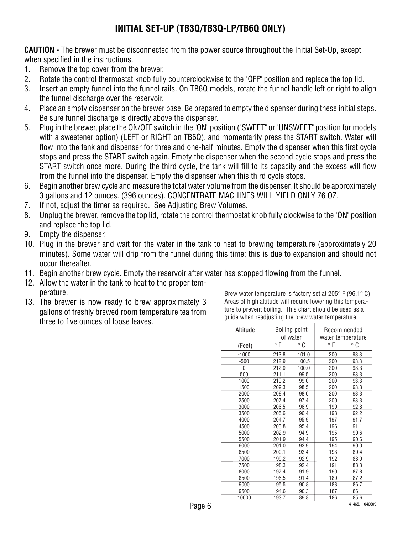# **INITIAL SET-UP (TB3Q/TB3Q-LP/TB6Q ONLY)**

**CAUTION -** The brewer must be disconnected from the power source throughout the Initial Set-Up, except when specified in the instructions.

- 1. Remove the top cover from the brewer.
- 2. Rotate the control thermostat knob fully counterclockwise to the "OFF" position and replace the top lid.
- 3. Insert an empty funnel into the funnel rails. On TB6Q models, rotate the funnel handle left or right to align the funnel discharge over the reservoir.
- 4. Place an empty dispenser on the brewer base. Be prepared to empty the dispenser during these initial steps. Be sure funnel discharge is directly above the dispenser.
- 5. Plug in the brewer, place the ON/OFF switch in the "ON" position ("SWEET" or "UNSWEET" position for models with a sweetener option) (LEFT or RIGHT on TB6Q), and momentarily press the START switch. Water will flow into the tank and dispenser for three and one-half minutes. Empty the dispenser when this first cycle stops and press the START switch again. Empty the dispenser when the second cycle stops and press the START switch once more. During the third cycle, the tank will fill to its capacity and the excess will flow from the funnel into the dispenser. Empty the dispenser when this third cycle stops.
- 6. Begin another brew cycle and measure the total water volume from the dispenser. It should be approximately 3 gallons and 12 ounces. (396 ounces). CONCENTRATE MACHINES WILL YIELD ONLY 76 OZ.
- 7. If not, adjust the timer as required. See Adjusting Brew Volumes.
- 8. Unplug the brewer, remove the top lid, rotate the control thermostat knob fully clockwise to the "ON" position and replace the top lid.
- 9. Empty the dispenser.
- 10. Plug in the brewer and wait for the water in the tank to heat to brewing temperature (approximately 20 minutes). Some water will drip from the funnel during this time; this is due to expansion and should not occur thereafter.
- 11. Begin another brew cycle. Empty the reservoir after water has stopped flowing from the funnel.
- 12. Allow the water in the tank to heat to the proper temperature.
- 13. The brewer is now ready to brew approximately 3 gallons of freshly brewed room temperature tea from three to five ounces of loose leaves.

Brew water temperature is factory set at 205° F (96.1° C) Areas of high altitude will require lowering this temperature to prevent boiling. This chart should be used as a guide when readjusting the brew water temperature.

| Altitude | <b>Boiling point</b><br>of water |       | Recommended<br>water temperature |              |
|----------|----------------------------------|-------|----------------------------------|--------------|
| (Feet)   | ° F                              | 。C    | $^{\circ}$ F                     | $^{\circ}$ C |
| $-1000$  | 213.8                            | 101.0 | 200                              | 93.3         |
| $-500$   | 212.9                            | 100.5 | 200                              | 93.3         |
| 0        | 212.0                            | 100.0 | 200                              | 93.3         |
| 500      | 211.1                            | 99.5  | 200                              | 93.3         |
| 1000     | 210.2                            | 99.0  | 200                              | 93.3         |
| 1500     | 209.3                            | 98.5  | 200                              | 93.3         |
| 2000     | 208.4                            | 98.0  | 200                              | 93.3         |
| 2500     | 207.4                            | 97.4  | 200                              | 93.3         |
| 3000     | 206.5                            | 96.9  | 199                              | 92.8         |
| 3500     | 205.6                            | 96.4  | 198                              | 92.2         |
| 4000     | 204.7                            | 95.9  | 197                              | 91.7         |
| 4500     | 203.8                            | 95.4  | 196                              | 91.1         |
| 5000     | 202.9                            | 94.9  | 195                              | 90.6         |
| 5500     | 201.9                            | 94.4  | 195                              | 90.6         |
| 6000     | 201.0                            | 93.9  | 194                              | 90.0         |
| 6500     | 200.1                            | 93.4  | 193                              | 89.4         |
| 7000     | 199.2                            | 92.9  | 192                              | 88.9         |
| 7500     | 198.3                            | 92.4  | 191                              | 88.3         |
| 8000     | 197.4                            | 91.9  | 190                              | 87.8         |
| 8500     | 196.5                            | 91.4  | 189                              | 87.2         |
| 9000     | 195.5                            | 90.8  | 188                              | 86.7         |
| 9500     | 194.6                            | 90.3  | 187                              | 86.1         |
| 10000    | 193.7                            | 89.8  | 186                              | 85.6         |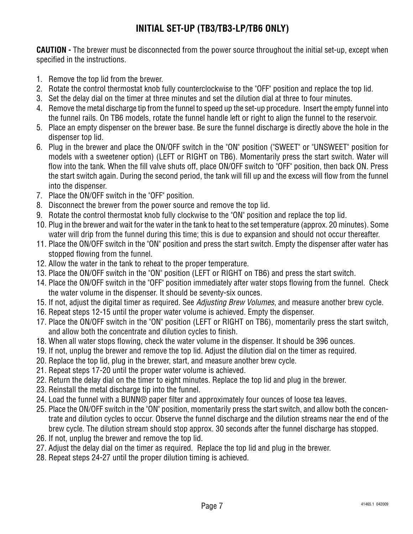# **INITIAL SET-UP (TB3/TB3-LP/TB6 ONLY)**

**CAUTION -** The brewer must be disconnected from the power source throughout the initial set-up, except when specified in the instructions.

- 1. Remove the top lid from the brewer.
- 2. Rotate the control thermostat knob fully counterclockwise to the "OFF" position and replace the top lid.
- 3. Set the delay dial on the timer at three minutes and set the dilution dial at three to four minutes.
- 4. Remove the metal discharge tip from the funnel to speed up the set-up procedure. Insert the empty funnel into the funnel rails. On TB6 models, rotate the funnel handle left or right to align the funnel to the reservoir.
- 5. Place an empty dispenser on the brewer base. Be sure the funnel discharge is directly above the hole in the dispenser top lid.
- 6. Plug in the brewer and place the ON/OFF switch in the "ON" position ("SWEET" or "UNSWEET" position for models with a sweetener option) (LEFT or RIGHT on TB6). Momentarily press the start switch. Water will flow into the tank. When the fill valve shuts off, place ON/OFF switch to "OFF" position, then back ON. Press the start switch again. During the second period, the tank will fill up and the excess will flow from the funnel into the dispenser.
- 7. Place the ON/OFF switch in the "OFF" position.
- 8. Disconnect the brewer from the power source and remove the top lid.
- 9. Rotate the control thermostat knob fully clockwise to the "ON" position and replace the top lid.
- 10. Plug in the brewer and wait for the water in the tank to heat to the set temperature (approx. 20 minutes). Some water will drip from the funnel during this time; this is due to expansion and should not occur thereafter.
- 11. Place the ON/OFF switch in the "ON" position and press the start switch. Empty the dispenser after water has stopped flowing from the funnel.
- 12. Allow the water in the tank to reheat to the proper temperature.
- 13. Place the ON/OFF switch in the "ON" position (LEFT or RIGHT on TB6) and press the start switch.
- 14. Place the ON/OFF switch in the "OFF" position immediately after water stops flowing from the funnel. Check the water volume in the dispenser. It should be seventy-six ounces.
- 15. If not, adjust the digital timer as required. See *Adjusting Brew Volumes*, and measure another brew cycle.
- 16. Repeat steps 12-15 until the proper water volume is achieved. Empty the dispenser.
- 17. Place the ON/OFF switch in the "ON" position (LEFT or RIGHT on TB6), momentarily press the start switch, and allow both the concentrate and dilution cycles to finish.
- 18. When all water stops flowing, check the water volume in the dispenser. It should be 396 ounces.
- 19. If not, unplug the brewer and remove the top lid. Adjust the dilution dial on the timer as required.
- 20. Replace the top lid, plug in the brewer, start, and measure another brew cycle.
- 21. Repeat steps 17-20 until the proper water volume is achieved.
- 22. Return the delay dial on the timer to eight minutes. Replace the top lid and plug in the brewer.
- 23. Reinstall the metal discharge tip into the funnel.
- 24. Load the funnel with a BUNN® paper filter and approximately four ounces of loose tea leaves.
- 25. Place the ON/OFF switch in the "ON" position, momentarily press the start switch, and allow both the concentrate and dilution cycles to occur. Observe the funnel discharge and the dilution streams near the end of the brew cycle. The dilution stream should stop approx. 30 seconds after the funnel discharge has stopped.
- 26. If not, unplug the brewer and remove the top lid.
- 27. Adjust the delay dial on the timer as required. Replace the top lid and plug in the brewer.
- 28. Repeat steps 24-27 until the proper dilution timing is achieved.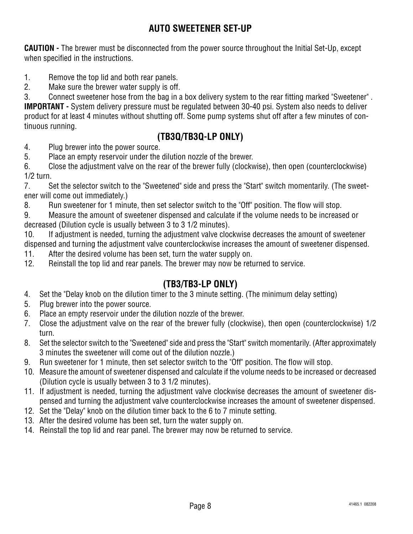# **AUTO SWEETENER SET-UP**

**CAUTION -** The brewer must be disconnected from the power source throughout the Initial Set-Up, except when specified in the instructions.

- 1. Remove the top lid and both rear panels.
- 2. Make sure the brewer water supply is off.
- 3. Connect sweetener hose from the bag in a box delivery system to the rear fitting marked "Sweetener" .

**IMPORTANT -** System delivery pressure must be regulated between 30-40 psi. System also needs to deliver product for at least 4 minutes without shutting off. Some pump systems shut off after a few minutes of continuous running.

# **(TB3Q/TB3Q-LP ONLY)**

4. Plug brewer into the power source.

5. Place an empty reservoir under the dilution nozzle of the brewer.

6. Close the adjustment valve on the rear of the brewer fully (clockwise), then open (counterclockwise) 1/2 turn.

7. Set the selector switch to the "Sweetened" side and press the "Start" switch momentarily. (The sweetener will come out immediately.)

8. Run sweetener for 1 minute, then set selector switch to the "Off" position. The flow will stop.

9. Measure the amount of sweetener dispensed and calculate if the volume needs to be increased or decreased (Dilution cycle is usually between 3 to 3 1/2 minutes).

10. If adjustment is needed, turning the adjustment valve clockwise decreases the amount of sweetener dispensed and turning the adjustment valve counterclockwise increases the amount of sweetener dispensed.

- 11. After the desired volume has been set, turn the water supply on.
- 12. Reinstall the top lid and rear panels. The brewer may now be returned to service.

# **(TB3/TB3-LP ONLY)**

- 4. Set the "Delay knob on the dilution timer to the 3 minute setting. (The minimum delay setting)
- 5. Plug brewer into the power source.
- 6. Place an empty reservoir under the dilution nozzle of the brewer.
- 7. Close the adjustment valve on the rear of the brewer fully (clockwise), then open (counterclockwise) 1/2 turn.
- 8. Set the selector switch to the "Sweetened" side and press the "Start" switch momentarily. (After approximately 3 minutes the sweetener will come out of the dilution nozzle.)
- 9. Run sweetener for 1 minute, then set selector switch to the "Off" position. The flow will stop.
- 10. Measure the amount of sweetener dispensed and calculate if the volume needs to be increased or decreased (Dilution cycle is usually between 3 to 3 1/2 minutes).
- 11. If adjustment is needed, turning the adjustment valve clockwise decreases the amount of sweetener dispensed and turning the adjustment valve counterclockwise increases the amount of sweetener dispensed.
- 12. Set the "Delay" knob on the dilution timer back to the 6 to 7 minute setting.
- 13. After the desired volume has been set, turn the water supply on.
- 14. Reinstall the top lid and rear panel. The brewer may now be returned to service.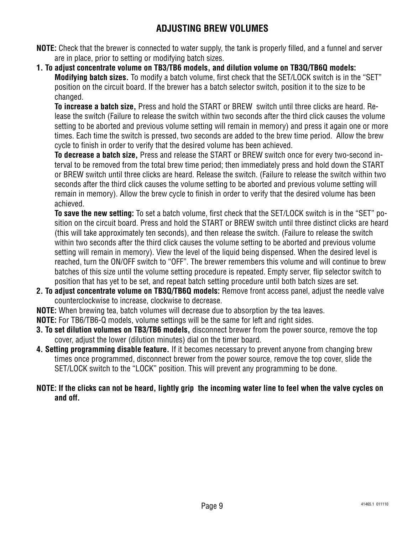# **ADJUSTING BREW VOLUMES**

- **NOTE:** Check that the brewer is connected to water supply, the tank is properly filled, and a funnel and server are in place, prior to setting or modifying batch sizes.
- **1. To adjust concentrate volume on TB3/TB6 models, and dilution volume on TB3Q/TB6Q models: Modifying batch sizes.** To modify a batch volume, first check that the SET/LOCK switch is in the "SET" position on the circuit board. If the brewer has a batch selector switch, position it to the size to be changed.

 **To increase a batch size,** Press and hold the START or BREW switch until three clicks are heard. Release the switch (Failure to release the switch within two seconds after the third click causes the volume setting to be aborted and previous volume setting will remain in memory) and press it again one or more times. Each time the switch is pressed, two seconds are added to the brew time period. Allow the brew cycle to finish in order to verify that the desired volume has been achieved.

 **To decrease a batch size,** Press and release the START or BREW switch once for every two-second interval to be removed from the total brew time period; then immediately press and hold down the START or BREW switch until three clicks are heard. Release the switch. (Failure to release the switch within two seconds after the third click causes the volume setting to be aborted and previous volume setting will remain in memory). Allow the brew cycle to finish in order to verify that the desired volume has been achieved.

 **To save the new setting:** To set a batch volume, first check that the SET/LOCK switch is in the "SET" position on the circuit board. Press and hold the START or BREW switch until three distinct clicks are heard (this will take approximately ten seconds), and then release the switch. (Failure to release the switch within two seconds after the third click causes the volume setting to be aborted and previous volume setting will remain in memory). View the level of the liquid being dispensed. When the desired level is reached, turn the ON/OFF switch to "OFF". The brewer remembers this volume and will continue to brew batches of this size until the volume setting procedure is repeated. Empty server, flip selector switch to position that has yet to be set, and repeat batch setting procedure until both batch sizes are set.

- **2. To adjust concentrate volume on TB3Q/TB6Q models:** Remove front access panel, adjust the needle valve counterclockwise to increase, clockwise to decrease.
- **NOTE:** When brewing tea, batch volumes will decrease due to absorption by the tea leaves.
- **NOTE:** For TB6/TB6-Q models, volume settings will be the same for left and right sides.
- **3. To set dilution volumes on TB3/TB6 models,** disconnect brewer from the power source, remove the top cover, adjust the lower (dilution minutes) dial on the timer board.
- **4. Setting programming disable feature.** If it becomes necessary to prevent anyone from changing brew times once programmed, disconnect brewer from the power source, remove the top cover, slide the SET/LOCK switch to the "LOCK" position. This will prevent any programming to be done.

#### **NOTE: If the clicks can not be heard, lightly grip the incoming water line to feel when the valve cycles on and off.**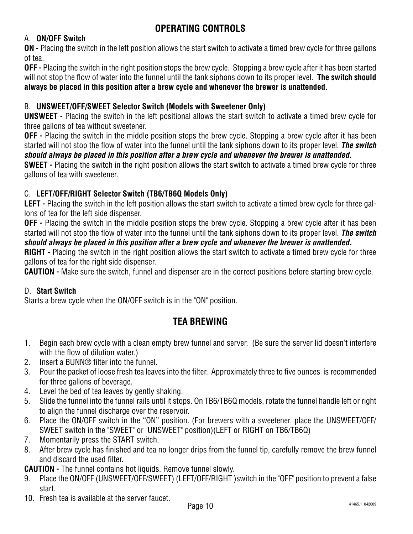# **OPERATING CONTROLS**

# A. **ON/OFF Switch**

**ON -** Placing the switch in the left position allows the start switch to activate a timed brew cycle for three gallons of tea.

**OFF -** Placing the switch in the right position stops the brew cycle. Stopping a brew cycle after it has been started will not stop the flow of water into the funnel until the tank siphons down to its proper level. **The switch should always be placed in this position after a brew cycle and whenever the brewer is unattended.**

## B. **UNSWEET/OFF/SWEET Selector Switch (Models with Sweetener Only)**

**UNSWEET -** Placing the switch in the left positional allows the start switch to activate a timed brew cycle for three gallons of tea without sweetener.

**OFF** - Placing the switch in the middle position stops the brew cycle. Stopping a brew cycle after it has been started will not stop the flow of water into the funnel until the tank siphons down to its proper level. *The switch* 

#### *should always be placed in this position after a brew cycle and whenever the brewer is unattended.*

**SWEET** - Placing the switch in the right position allows the start switch to activate a timed brew cycle for three gallons of tea with sweetener.

## C. **LEFT/OFF/RIGHT Selector Switch (TB6/TB6Q Models Only)**

LEFT - Placing the switch in the left position allows the start switch to activate a timed brew cycle for three gallons of tea for the left side dispenser.

**OFF** - Placing the switch in the middle position stops the brew cycle. Stopping a brew cycle after it has been started will not stop the flow of water into the funnel until the tank siphons down to its proper level. *The switch should always be placed in this position after a brew cycle and whenever the brewer is unattended.*

#### **RIGHT -** Placing the switch in the right position allows the start switch to activate a timed brew cycle for three gallons of tea for the right side dispenser.

**CAUTION -** Make sure the switch, funnel and dispenser are in the correct positions before starting brew cycle.

## D. **Start Switch**

Starts a brew cycle when the ON/OFF switch is in the "ON" position.

# **TEA BREWING**

- 1. Begin each brew cycle with a clean empty brew funnel and server. (Be sure the server lid doesn't interfere with the flow of dilution water.)
- 2. Insert a BUNN® filter into the funnel.
- 3. Pour the packet of loose fresh tea leaves into the filter. Approximately three to five ounces is recommended for three gallons of beverage.
- 4. Level the bed of tea leaves by gently shaking.
- 5. Slide the funnel into the funnel rails until it stops. On TB6/TB6Q models, rotate the funnel handle left or right to align the funnel discharge over the reservoir.
- 6. Place the ON/OFF switch in the "ON" position. (For brewers with a sweetener, place the UNSWEET/OFF/ SWEET switch in the "SWEET" or "UNSWEET" position)(LEFT or RIGHT on TB6/TB6Q)
- 7. Momentarily press the START switch.
- 8. After brew cycle has finished and tea no longer drips from the funnel tip, carefully remove the brew funnel and discard the used filter.

**CAUTION -** The funnel contains hot liquids. Remove funnel slowly.

- 9. Place the ON/OFF (UNSWEET/OFF/SWEET) (LEFT/OFF/RIGHT )switch in the "OFF" position to prevent a false start.
- 10. Fresh tea is available at the server faucet.